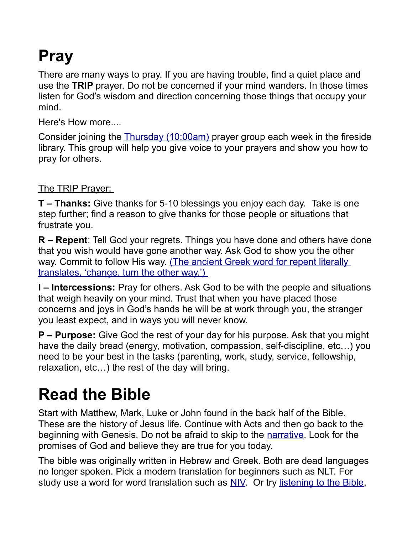# **Pray**

There are many ways to pray. If you are having trouble, find a quiet place and use the **TRIP** prayer. Do not be concerned if your mind wanders. In those times listen for God's wisdom and direction concerning those things that occupy your mind.

Here's How more....

Consider joining the [Thursday \(10:00am\) p](http://mlcjoliet.org/help/prayer-support/)rayer group each week in the fireside library. This group will help you give voice to your prayers and show you how to pray for others.

The TRIP Prayer:

**T – Thanks:** Give thanks for 5-10 blessings you enjoy each day. Take is one step further; find a reason to give thanks for those people or situations that frustrate you.

**R – Repent**: Tell God your regrets. Things you have done and others have done that you wish would have gone another way. Ask God to show you the other way. Commit to follow His way. (The ancient Greek word for repent literally  [translates, 'change, turn the other way.'\)](http://www.wikihow.com/Repent-According-to-the-Bible)

**I – Intercessions:** Pray for others. Ask God to be with the people and situations that weigh heavily on your mind. Trust that when you have placed those concerns and joys in God's hands he will be at work through you, the stranger you least expect, and in ways you will never know.

**P – Purpose:** Give God the rest of your day for his purpose. Ask that you might have the daily bread (energy, motivation, compassion, self-discipline, etc…) you need to be your best in the tasks (parenting, work, study, service, fellowship, relaxation, etc…) the rest of the day will bring.

# **Read the Bible**

Start with Matthew, Mark, Luke or John found in the back half of the Bible. These are the history of Jesus life. Continue with Acts and then go back to the beginning with Genesis. Do not be afraid to skip to the [narrative.](httphttp://www.biblegateway.com/blog/tag/biblical-narrative/://) Look for the promises of God and believe they are true for you today.

The bible was originally written in Hebrew and Greek. Both are dead languages no longer spoken. Pick a modern translation for beginners such as NLT. For study use a word for word translation such as [NIV.](http://www.biblegateway.com/://) Or try [listening to the Bible,](http://www.biblegateway.com/resources/audio/://)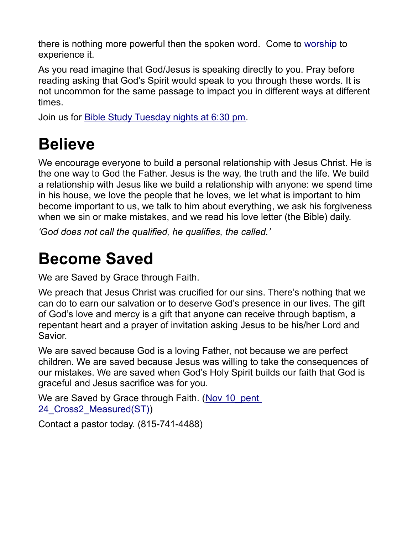there is nothing more powerful then the spoken word. Come to [worship](http://mlcjoliet.org/new-here/time-and-location/) to experience it.

As you read imagine that God/Jesus is speaking directly to you. Pray before reading asking that God's Spirit would speak to you through these words. It is not uncommon for the same passage to impact you in different ways at different times.

Join us for **Bible Study Tuesday nights at 6:30 pm.** 

### **Believe**

We encourage everyone to build a personal relationship with Jesus Christ. He is the one way to God the Father. Jesus is the way, the truth and the life. We build a relationship with Jesus like we build a relationship with anyone: we spend time in his house, we love the people that he loves, we let what is important to him become important to us, we talk to him about everything, we ask his forgiveness when we sin or make mistakes, and we read his love letter (the Bible) daily.

*'God does not call the qualified, he qualifies, the called.'*

### **Become Saved**

We are Saved by Grace through Faith.

We preach that Jesus Christ was crucified for our sins. There's nothing that we can do to earn our salvation or to deserve God's presence in our lives. The gift of God's love and mercy is a gift that anyone can receive through baptism, a repentant heart and a prayer of invitation asking Jesus to be his/her Lord and Savior.

We are saved because God is a loving Father, not because we are perfect children. We are saved because Jesus was willing to take the consequences of our mistakes. We are saved when God's Holy Spirit builds our faith that God is graceful and Jesus sacrifice was for you.

We are Saved by Grace through Faith. (Nov 10 pent) 24 Cross2 Measured(ST))

Contact a pastor today. (815-741-4488)